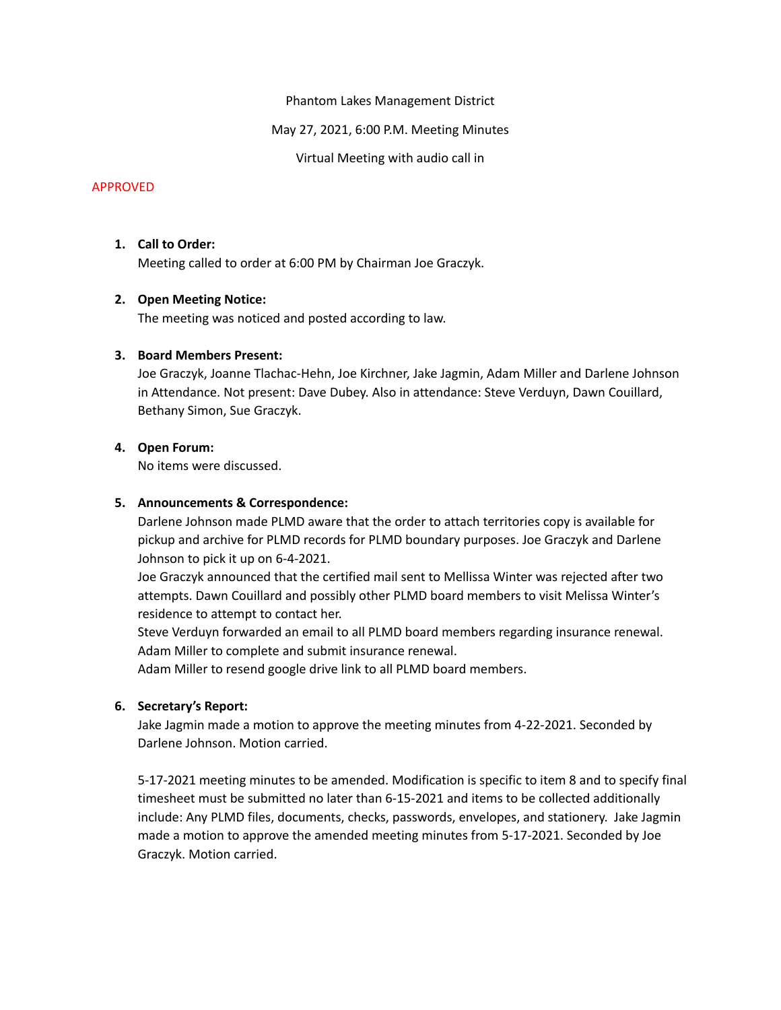Phantom Lakes Management District

May 27, 2021, 6:00 P.M. Meeting Minutes

Virtual Meeting with audio call in

### APPROVED

# **1. Call to Order:**

Meeting called to order at 6:00 PM by Chairman Joe Graczyk.

# **2. Open Meeting Notice:**

The meeting was noticed and posted according to law.

# **3. Board Members Present:**

Joe Graczyk, Joanne Tlachac-Hehn, Joe Kirchner, Jake Jagmin, Adam Miller and Darlene Johnson in Attendance. Not present: Dave Dubey. Also in attendance: Steve Verduyn, Dawn Couillard, Bethany Simon, Sue Graczyk.

# **4. Open Forum:**

No items were discussed.

### **5. Announcements & Correspondence:**

Darlene Johnson made PLMD aware that the order to attach territories copy is available for pickup and archive for PLMD records for PLMD boundary purposes. Joe Graczyk and Darlene Johnson to pick it up on 6-4-2021.

Joe Graczyk announced that the certified mail sent to Mellissa Winter was rejected after two attempts. Dawn Couillard and possibly other PLMD board members to visit Melissa Winter's residence to attempt to contact her.

Steve Verduyn forwarded an email to all PLMD board members regarding insurance renewal. Adam Miller to complete and submit insurance renewal.

Adam Miller to resend google drive link to all PLMD board members.

# **6. Secretary's Report:**

Jake Jagmin made a motion to approve the meeting minutes from 4-22-2021. Seconded by Darlene Johnson. Motion carried.

5-17-2021 meeting minutes to be amended. Modification is specific to item 8 and to specify final timesheet must be submitted no later than 6-15-2021 and items to be collected additionally include: Any PLMD files, documents, checks, passwords, envelopes, and stationery. Jake Jagmin made a motion to approve the amended meeting minutes from 5-17-2021. Seconded by Joe Graczyk. Motion carried.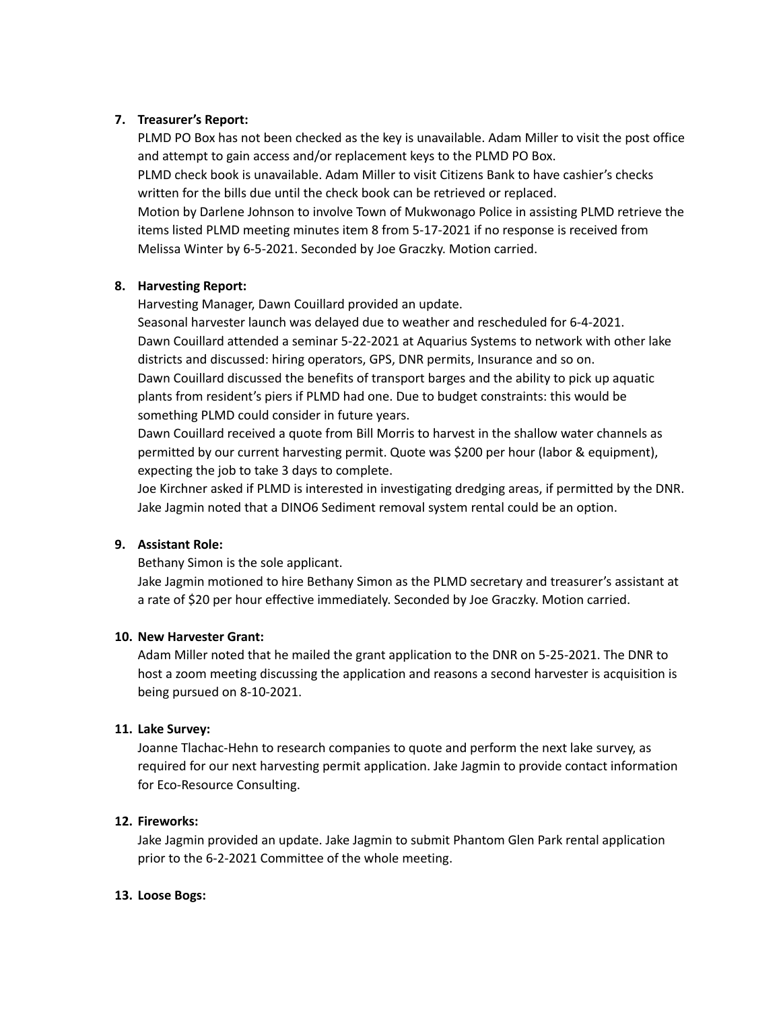# **7. Treasurer's Report:**

PLMD PO Box has not been checked as the key is unavailable. Adam Miller to visit the post office and attempt to gain access and/or replacement keys to the PLMD PO Box.

PLMD check book is unavailable. Adam Miller to visit Citizens Bank to have cashier's checks written for the bills due until the check book can be retrieved or replaced.

Motion by Darlene Johnson to involve Town of Mukwonago Police in assisting PLMD retrieve the items listed PLMD meeting minutes item 8 from 5-17-2021 if no response is received from Melissa Winter by 6-5-2021. Seconded by Joe Graczky. Motion carried.

# **8. Harvesting Report:**

Harvesting Manager, Dawn Couillard provided an update.

Seasonal harvester launch was delayed due to weather and rescheduled for 6-4-2021. Dawn Couillard attended a seminar 5-22-2021 at Aquarius Systems to network with other lake districts and discussed: hiring operators, GPS, DNR permits, Insurance and so on. Dawn Couillard discussed the benefits of transport barges and the ability to pick up aquatic plants from resident's piers if PLMD had one. Due to budget constraints: this would be something PLMD could consider in future years.

Dawn Couillard received a quote from Bill Morris to harvest in the shallow water channels as permitted by our current harvesting permit. Quote was \$200 per hour (labor & equipment), expecting the job to take 3 days to complete.

Joe Kirchner asked if PLMD is interested in investigating dredging areas, if permitted by the DNR. Jake Jagmin noted that a DINO6 Sediment removal system rental could be an option.

### **9. Assistant Role:**

Bethany Simon is the sole applicant.

Jake Jagmin motioned to hire Bethany Simon as the PLMD secretary and treasurer's assistant at a rate of \$20 per hour effective immediately. Seconded by Joe Graczky. Motion carried.

### **10. New Harvester Grant:**

Adam Miller noted that he mailed the grant application to the DNR on 5-25-2021. The DNR to host a zoom meeting discussing the application and reasons a second harvester is acquisition is being pursued on 8-10-2021.

### **11. Lake Survey:**

Joanne Tlachac-Hehn to research companies to quote and perform the next lake survey, as required for our next harvesting permit application. Jake Jagmin to provide contact information for Eco-Resource Consulting.

### **12. Fireworks:**

Jake Jagmin provided an update. Jake Jagmin to submit Phantom Glen Park rental application prior to the 6-2-2021 Committee of the whole meeting.

### **13. Loose Bogs:**